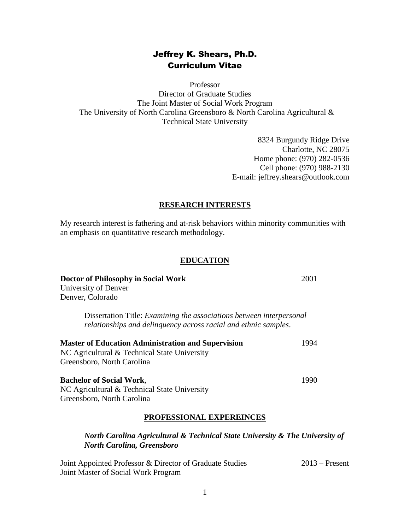### Jeffrey K. Shears, Ph.D. Curriculum Vitae

Professor Director of Graduate Studies The Joint Master of Social Work Program The University of North Carolina Greensboro & North Carolina Agricultural & Technical State University

> 8324 Burgundy Ridge Drive Charlotte, NC 28075 Home phone: (970) 282-0536 Cell phone: (970) 988-2130 E-mail: jeffrey.shears@outlook.com

### **RESEARCH INTERESTS**

My research interest is fathering and at-risk behaviors within minority communities with an emphasis on quantitative research methodology.

### **EDUCATION**

| Doctor of Philosophy in Social Work<br>University of Denver                                                                                    | 2001 |
|------------------------------------------------------------------------------------------------------------------------------------------------|------|
| Denver, Colorado                                                                                                                               |      |
| Dissertation Title: <i>Examining the associations between interpersonal</i><br>relationships and delinquency across racial and ethnic samples. |      |
| <b>Master of Education Administration and Supervision</b><br>NC Agricultural & Technical State University<br>Greensboro, North Carolina        | 1994 |
| <b>Bachelor of Social Work,</b><br>NC Agricultural & Technical State University<br>Greensboro, North Carolina                                  | 1990 |

# **PROFESSIONAL EXPEREINCES**

### *North Carolina Agricultural & Technical State University & The University of North Carolina, Greensboro*

| Joint Appointed Professor & Director of Graduate Studies |  | $2013$ – Present |
|----------------------------------------------------------|--|------------------|
| Joint Master of Social Work Program                      |  |                  |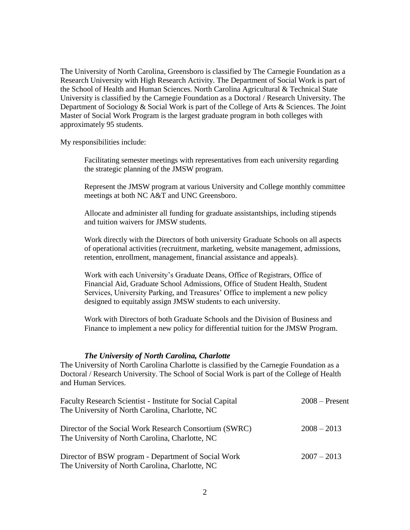The University of North Carolina, Greensboro is classified by The Carnegie Foundation as a Research University with High Research Activity. The Department of Social Work is part of the School of Health and Human Sciences. North Carolina Agricultural & Technical State University is classified by the Carnegie Foundation as a Doctoral / Research University. The Department of Sociology & Social Work is part of the College of Arts & Sciences. The Joint Master of Social Work Program is the largest graduate program in both colleges with approximately 95 students.

My responsibilities include:

Facilitating semester meetings with representatives from each university regarding the strategic planning of the JMSW program.

Represent the JMSW program at various University and College monthly committee meetings at both NC A&T and UNC Greensboro.

Allocate and administer all funding for graduate assistantships, including stipends and tuition waivers for JMSW students.

Work directly with the Directors of both university Graduate Schools on all aspects of operational activities (recruitment, marketing, website management, admissions, retention, enrollment, management, financial assistance and appeals).

Work with each University's Graduate Deans, Office of Registrars, Office of Financial Aid, Graduate School Admissions, Office of Student Health, Student Services, University Parking, and Treasures' Office to implement a new policy designed to equitably assign JMSW students to each university.

Work with Directors of both Graduate Schools and the Division of Business and Finance to implement a new policy for differential tuition for the JMSW Program.

### *The University of North Carolina, Charlotte*

The University of North Carolina Charlotte is classified by the Carnegie Foundation as a Doctoral / Research University. The School of Social Work is part of the College of Health and Human Services.

| Faculty Research Scientist - Institute for Social Capital<br>The University of North Carolina, Charlotte, NC | $2008 -$ Present |
|--------------------------------------------------------------------------------------------------------------|------------------|
| Director of the Social Work Research Consortium (SWRC)<br>The University of North Carolina, Charlotte, NC    | $2008 - 2013$    |
| Director of BSW program - Department of Social Work<br>The University of North Carolina, Charlotte, NC       | $2007 - 2013$    |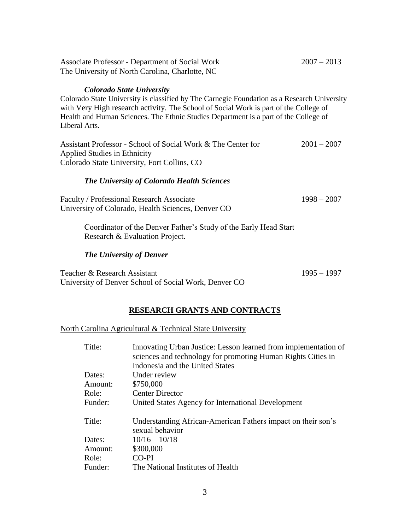| <b>Associate Professor - Department of Social Work</b><br>The University of North Carolina, Charlotte, NC                                                                                                                                                                                                                         | $2007 - 2013$ |
|-----------------------------------------------------------------------------------------------------------------------------------------------------------------------------------------------------------------------------------------------------------------------------------------------------------------------------------|---------------|
| <b>Colorado State University</b><br>Colorado State University is classified by The Carnegie Foundation as a Research University<br>with Very High research activity. The School of Social Work is part of the College of<br>Health and Human Sciences. The Ethnic Studies Department is a part of the College of<br>Liberal Arts. |               |
| Assistant Professor - School of Social Work & The Center for<br>Applied Studies in Ethnicity                                                                                                                                                                                                                                      | $2001 - 2007$ |
| Colorado State University, Fort Collins, CO                                                                                                                                                                                                                                                                                       |               |
| <b>The University of Colorado Health Sciences</b>                                                                                                                                                                                                                                                                                 |               |
| Faculty / Professional Research Associate<br>University of Colorado, Health Sciences, Denver CO                                                                                                                                                                                                                                   | $1998 - 2007$ |
| Coordinator of the Denver Father's Study of the Early Head Start<br>Research & Evaluation Project.                                                                                                                                                                                                                                |               |
| <b>The University of Denver</b>                                                                                                                                                                                                                                                                                                   |               |
| Teacher & Research Assistant<br>University of Denver School of Social Work, Denver CO                                                                                                                                                                                                                                             | $1995 - 1997$ |

# **RESEARCH GRANTS AND CONTRACTS**

### North Carolina Agricultural & Technical State University

| Title:  | Innovating Urban Justice: Lesson learned from implementation of<br>sciences and technology for promoting Human Rights Cities in<br>Indonesia and the United States |
|---------|--------------------------------------------------------------------------------------------------------------------------------------------------------------------|
| Dates:  | Under review                                                                                                                                                       |
| Amount: | \$750,000                                                                                                                                                          |
| Role:   | <b>Center Director</b>                                                                                                                                             |
| Funder: | United States Agency for International Development                                                                                                                 |
| Title:  | Understanding African-American Fathers impact on their son's<br>sexual behavior                                                                                    |
| Dates:  | $10/16 - 10/18$                                                                                                                                                    |
| Amount: | \$300,000                                                                                                                                                          |
| Role:   | CO-PI                                                                                                                                                              |
| Funder: | The National Institutes of Health                                                                                                                                  |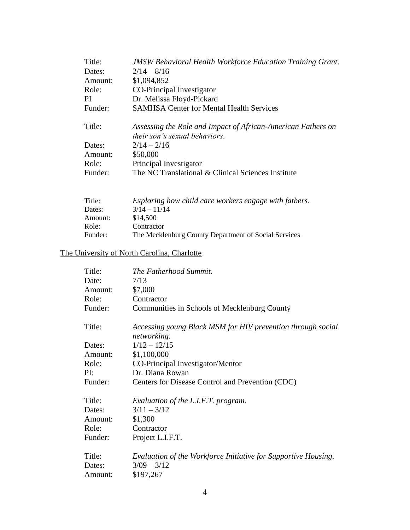| <b>JMSW Behavioral Health Workforce Education Training Grant.</b>                                    |
|------------------------------------------------------------------------------------------------------|
| $2/14 - 8/16$                                                                                        |
| \$1,094,852                                                                                          |
| CO-Principal Investigator                                                                            |
| Dr. Melissa Floyd-Pickard                                                                            |
| <b>SAMHSA Center for Mental Health Services</b>                                                      |
| Assessing the Role and Impact of African-American Fathers on<br><i>their son's sexual behaviors.</i> |
| $2/14 - 2/16$                                                                                        |
| \$50,000                                                                                             |
| Principal Investigator                                                                               |
| The NC Translational & Clinical Sciences Institute                                                   |
|                                                                                                      |

| Title:  | Exploring how child care workers engage with fathers. |
|---------|-------------------------------------------------------|
| Dates:  | $3/14 - 11/14$                                        |
| Amount: | \$14,500                                              |
| Role:   | Contractor                                            |
| Funder: | The Mecklenburg County Department of Social Services  |

# The University of North Carolina, Charlotte

| Title:                      | The Fatherhood Summit.                                                                       |
|-----------------------------|----------------------------------------------------------------------------------------------|
| Date:                       | 7/13                                                                                         |
| Amount:                     | \$7,000                                                                                      |
| Role:                       | Contractor                                                                                   |
| Funder:                     | Communities in Schools of Mecklenburg County                                                 |
| Title:                      | Accessing young Black MSM for HIV prevention through social<br>networking.                   |
| Dates:                      | $1/12 - 12/15$                                                                               |
| Amount:                     | \$1,100,000                                                                                  |
| Role:                       | CO-Principal Investigator/Mentor                                                             |
| PI:                         | Dr. Diana Rowan                                                                              |
| Funder:                     | Centers for Disease Control and Prevention (CDC)                                             |
| Title:                      | Evaluation of the L.I.F.T. program.                                                          |
| Dates:                      | $3/11 - 3/12$                                                                                |
| Amount:                     | \$1,300                                                                                      |
| Role:                       | Contractor                                                                                   |
| Funder:                     | Project L.I.F.T.                                                                             |
| Title:<br>Dates:<br>Amount: | Evaluation of the Workforce Initiative for Supportive Housing.<br>$3/09 - 3/12$<br>\$197,267 |
|                             |                                                                                              |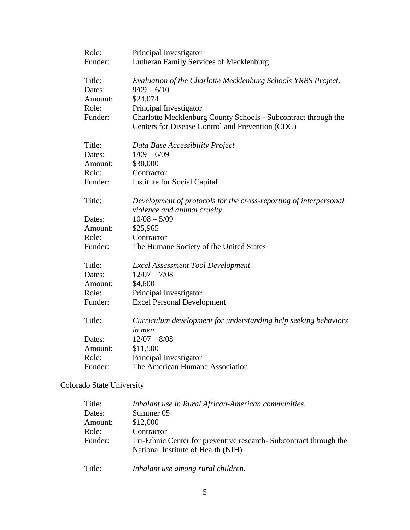| Role:   | Principal Investigator                                                                                             |
|---------|--------------------------------------------------------------------------------------------------------------------|
| Funder: | Lutheran Family Services of Mecklenburg                                                                            |
| Title:  | Evaluation of the Charlotte Mecklenburg Schools YRBS Project.                                                      |
| Dates:  | $9/09 - 6/10$                                                                                                      |
| Amount: | \$24,074                                                                                                           |
| Role:   | Principal Investigator                                                                                             |
| Funder: | Charlotte Mecklenburg County Schools - Subcontract through the<br>Centers for Disease Control and Prevention (CDC) |
| Title:  | Data Base Accessibility Project                                                                                    |
| Dates:  | $1/09 - 6/09$                                                                                                      |
| Amount: | \$30,000                                                                                                           |
| Role:   | Contractor                                                                                                         |
| Funder: | <b>Institute for Social Capital</b>                                                                                |
| Title:  | Development of protocols for the cross-reporting of interpersonal<br>violence and animal cruelty.                  |
| Dates:  | $10/08 - 5/09$                                                                                                     |
| Amount: | \$25,965                                                                                                           |
| Role:   | Contractor                                                                                                         |
| Funder: | The Humane Society of the United States                                                                            |
| Title:  | <b>Excel Assessment Tool Development</b>                                                                           |
| Dates:  | $12/07 - 7/08$                                                                                                     |
| Amount: | \$4,600                                                                                                            |
| Role:   | Principal Investigator                                                                                             |
| Funder: | <b>Excel Personal Development</b>                                                                                  |
| Title:  | Curriculum development for understanding help seeking behaviors                                                    |
|         | <i>in men</i>                                                                                                      |
| Dates:  | $12/07 - 8/08$                                                                                                     |
| Amount: | \$11,500                                                                                                           |
| Role:   | Principal Investigator                                                                                             |
| Funder: | The American Humane Association                                                                                    |

# Colorado State University

| Title:  | Inhalant use in Rural African-American communities.                                                       |
|---------|-----------------------------------------------------------------------------------------------------------|
| Dates:  | Summer 05                                                                                                 |
| Amount: | \$12,000                                                                                                  |
| Role:   | Contractor                                                                                                |
| Funder: | Tri-Ethnic Center for preventive research - Subcontract through the<br>National Institute of Health (NIH) |
| Title:  | Inhalant use among rural children.                                                                        |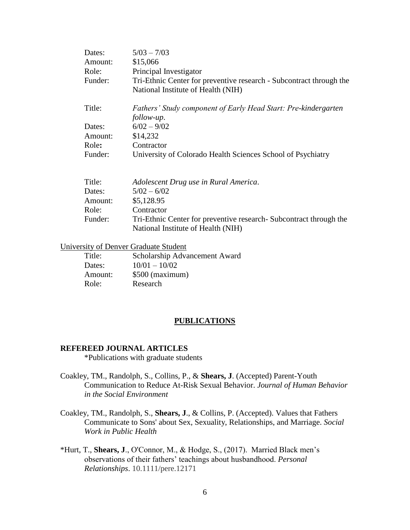| $5/03 - 7/03$                                                                |
|------------------------------------------------------------------------------|
| \$15,066                                                                     |
| Principal Investigator                                                       |
| Tri-Ethnic Center for preventive research - Subcontract through the          |
| National Institute of Health (NIH)                                           |
| Fathers' Study component of Early Head Start: Pre-kindergarten<br>follow-up. |
| $6/02 - 9/02$                                                                |
| \$14,232                                                                     |
| Contractor                                                                   |
| University of Colorado Health Sciences School of Psychiatry                  |
|                                                                              |

| Title:  | Adolescent Drug use in Rural America.                               |
|---------|---------------------------------------------------------------------|
| Dates:  | $5/02 - 6/02$                                                       |
| Amount: | \$5,128.95                                                          |
| Role:   | Contractor                                                          |
| Funder: | Tri-Ethnic Center for preventive research - Subcontract through the |
|         | National Institute of Health (NIH)                                  |

University of Denver Graduate Student

| Title:  | Scholarship Advancement Award |
|---------|-------------------------------|
| Dates:  | $10/01 - 10/02$               |
| Amount: | \$500 (maximum)               |
| Role:   | Research                      |

### **PUBLICATIONS**

#### **REFEREED JOURNAL ARTICLES**

\*Publications with graduate students

- Coakley, TM., Randolph, S., Collins, P., & **Shears, J**. (Accepted) Parent-Youth Communication to Reduce At-Risk Sexual Behavior. *Journal of Human Behavior in the Social Environment*
- Coakley, TM., Randolph, S., **Shears, J**., & Collins, P. (Accepted). Values that Fathers Communicate to Sons' about Sex, Sexuality, Relationships, and Marriage. *Social Work in Public Health*
- \*Hurt, T., **Shears, J**., O'Connor, M., & Hodge, S., (2017). Married Black men's observations of their fathers' teachings about husbandhood. *Personal Relationships*. 10.1111/pere.12171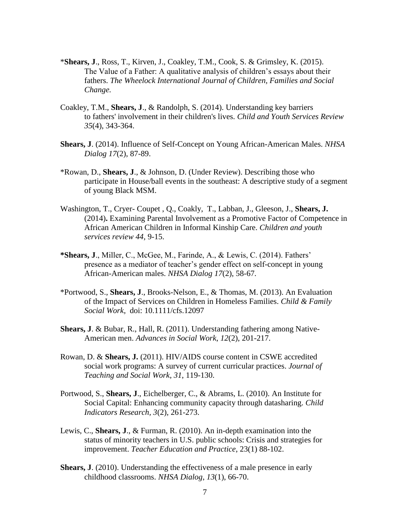- \***Shears, J**., Ross, T., Kirven, J., Coakley, T.M., Cook, S. & Grimsley, K. (2015). The Value of a Father: A qualitative analysis of children's essays about their fathers. *The Wheelock International Journal of Children, Families and Social Change.*
- Coakley, T.M., **Shears, J**., & Randolph, S. (2014). Understanding key barriers to fathers' involvement in their children's lives. *Child and Youth Services Review 35*(4), 343-364.
- **Shears, J**. (2014). Influence of Self-Concept on Young African-American Males. *NHSA Dialog 17*(2), 87-89.
- \*Rowan, D., **Shears, J**., & Johnson, D. (Under Review). Describing those who participate in House/ball events in the southeast: A descriptive study of a segment of young Black MSM.
- Washington, T., Cryer- Coupet , Q., Coakly, T., Labban, J., Gleeson, J., **Shears, J.** (2014)**.** Examining Parental Involvement as a Promotive Factor of Competence in African American Children in Informal Kinship Care. *Children and youth services review 44,* 9-15.
- **\*Shears, J**., Miller, C., McGee, M., Farinde, A., & Lewis, C. (2014). Fathers' presence as a mediator of teacher's gender effect on self-concept in young African-American males. *NHSA Dialog 17*(2), 58-67*.*
- \*Portwood, S., **Shears, J**., Brooks-Nelson, E., & Thomas, M. (2013). An Evaluation of the Impact of Services on Children in Homeless Families. *Child & Family Social Work*, doi: 10.1111/cfs.12097
- **Shears, J**. & Bubar, R., Hall, R. (2011). Understanding fathering among Native-American men. *Advances in Social Work*, *12*(2), 201-217.
- Rowan, D. & **Shears, J.** (2011). HIV/AIDS course content in CSWE accredited social work programs: A survey of current curricular practices. *Journal of Teaching and Social Work*, *31*, 119-130.
- Portwood, S., **Shears, J**., Eichelberger, C., & Abrams, L. (2010). An Institute for Social Capital: Enhancing community capacity through datasharing. *Child Indicators Research, 3*(2)*,* 261-273.
- Lewis, C., **Shears, J**., & Furman, R. (2010). An in-depth examination into the status of minority teachers in U.S. public schools: Crisis and strategies for improvement. *Teacher Education and Practice*, 23(1) 88-102.
- **Shears, J**. (2010). Understanding the effectiveness of a male presence in early childhood classrooms. *NHSA Dialog*, *13*(1), 66-70.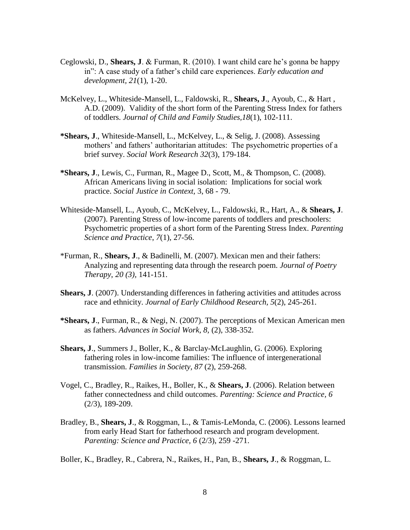- Ceglowski, D., **Shears, J**. & Furman, R. (2010). I want child care he's gonna be happy in": A case study of a father's child care experiences. *Early education and development, 21*(1), 1-20.
- McKelvey, L., Whiteside-Mansell, L., Faldowski, R., **Shears, J**., Ayoub, C., & Hart , A.D. (2009). Validity of the short form of the Parenting Stress Index for fathers of toddlers. *Journal of Child and Family Studies,18*(1), 102-111.
- **\*Shears, J**., Whiteside-Mansell, L., McKelvey, L., & Selig, J. (2008). Assessing mothers' and fathers' authoritarian attitudes: The psychometric properties of a brief survey. *Social Work Research 32*(3), 179-184.
- **\*Shears, J**., Lewis, C., Furman, R., Magee D., Scott, M., & Thompson, C. (2008). African Americans living in social isolation: Implications for social work practice. *Social Justice in Context,* 3, 68 - 79.
- Whiteside-Mansell, L., Ayoub, C., McKelvey, L., Faldowski, R., Hart, A., & **Shears, J**. (2007). Parenting Stress of low-income parents of toddlers and preschoolers: Psychometric properties of a short form of the Parenting Stress Index. *Parenting Science and Practice*, *7*(1), 27-56.
- \*Furman, R., **Shears, J**., & Badinelli, M. (2007). Mexican men and their fathers: Analyzing and representing data through the research poem. *Journal of Poetry Therapy*, *20 (3),* 141-151.
- **Shears, J.** (2007). Understanding differences in fathering activities and attitudes across race and ethnicity. *Journal of Early Childhood Research, 5*(2), 245-261.
- **\*Shears, J**., Furman, R., & Negi, N. (2007). The perceptions of Mexican American men as fathers. *Advances in Social Work, 8,* (2), 338-352.
- **Shears, J**., Summers J., Boller, K., & Barclay-McLaughlin, G. (2006). Exploring fathering roles in low-income families: The influence of intergenerational transmission. *Families in Society, 87* (2), 259-268.
- Vogel, C., Bradley, R., Raikes, H., Boller, K., & **Shears, J**. (2006). Relation between father connectedness and child outcomes. *Parenting: Science and Practice, 6*  (2/3), 189-209.
- Bradley, B., **Shears, J**., & Roggman, L., & Tamis-LeMonda, C. (2006). Lessons learned from early Head Start for fatherhood research and program development*. Parenting: Science and Practice, 6* (2/3), 259 -271.

Boller, K., Bradley, R., Cabrera, N., Raikes, H., Pan, B., **Shears, J**., & Roggman, L.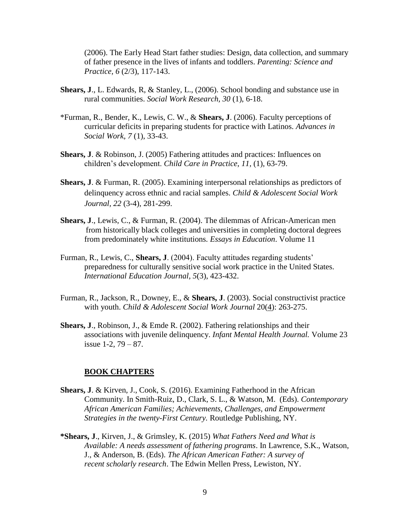(2006). The Early Head Start father studies: Design, data collection, and summary of father presence in the lives of infants and toddlers. *Parenting: Science and Practice, 6* (2/3), 117-143.

- **Shears, J**., L. Edwards, R, & Stanley, L., (2006). School bonding and substance use in rural communities. *Social Work Research, 30* (1), 6-18.
- \*Furman, R., Bender, K., Lewis, C. W., & **Shears, J**. (2006). Faculty perceptions of curricular deficits in preparing students for practice with Latinos. *Advances in Social Work, 7* (1), 33-43.
- **Shears, J**. & Robinson, J. (2005) Fathering attitudes and practices: Influences on children's development. *Child Care in Practice*, *11,* (1), 63-79.
- **Shears, J**. & Furman, R. (2005). Examining interpersonal relationships as predictors of delinquency across ethnic and racial samples. *Child & Adolescent Social Work Journal, 22* (3-4), 281-299.
- **Shears, J**., Lewis, C., & Furman, R. (2004). The dilemmas of African-American men from historically black colleges and universities in completing doctoral degrees from predominately white institutions*. Essays in Education*. Volume 11
- Furman, R., Lewis, C., **Shears, J**. (2004). Faculty attitudes regarding students' preparedness for culturally sensitive social work practice in the United States. *International Education Journal, 5*(3), 423-432.
- Furman, R., Jackson, R., Downey, E., & **Shears, J**. (2003). Social constructivist practice with youth. *Child & Adolescent Social Work Journal* 20(4): 263-275.
- **Shears, J**., Robinson, J., & Emde R. (2002). Fathering relationships and their associations with juvenile delinquency. *Infant Mental Health Journal.* Volume 23 issue 1-2, 79 – 87.

### **BOOK CHAPTERS**

- **Shears, J**. & Kirven, J., Cook, S. (2016). Examining Fatherhood in the African Community. In Smith-Ruiz, D., Clark, S. L., & Watson, M. (Eds). *Contemporary African American Families; Achievements, Challenges, and Empowerment Strategies in the twenty-First Century.* Routledge Publishing, NY.
- **\*Shears, J**., Kirven, J., & Grimsley, K. (2015) *What Fathers Need and What is Available: A needs assessment of fathering programs*. In Lawrence, S.K., Watson, J., & Anderson, B. (Eds). *The African American Father: A survey of recent scholarly research*. The Edwin Mellen Press, Lewiston, NY.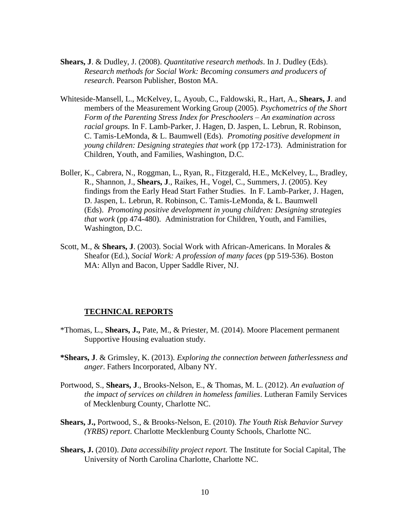- **Shears, J**. & Dudley, J. (2008). *Quantitative research methods*. In J. Dudley (Eds). *Research methods for Social Work: Becoming consumers and producers of research*. Pearson Publisher, Boston MA.
- Whiteside-Mansell, L., McKelvey, L, Ayoub, C., Faldowski, R., Hart, A., **Shears, J**. and members of the Measurement Working Group (2005). *Psychometrics of the Short Form of the Parenting Stress Index for Preschoolers – An examination across racial groups.* In F. Lamb-Parker, J. Hagen, D. Jaspen, L. Lebrun, R. Robinson, C. Tamis-LeMonda, & L. Baumwell (Eds). *Promoting positive development in young children: Designing strategies that work* (pp 172-173). Administration for Children, Youth, and Families, Washington, D.C.
- Boller, K., Cabrera, N., Roggman, L., Ryan, R., Fitzgerald, H.E., McKelvey, L., Bradley, R., Shannon, J., **Shears, J**., Raikes, H., Vogel, C., Summers, J. (2005). Key findings from the Early Head Start Father Studies. In F. Lamb-Parker, J. Hagen, D. Jaspen, L. Lebrun, R. Robinson, C. Tamis-LeMonda, & L. Baumwell (Eds). *Promoting positive development in young children: Designing strategies that work* (pp 474-480). Administration for Children, Youth, and Families, Washington, D.C.
- Scott, M., & **Shears, J**. (2003). Social Work with African-Americans. In Morales & Sheafor (Ed.), *Social Work: A profession of many faces* (pp 519-536). Boston MA: Allyn and Bacon, Upper Saddle River, NJ.

### **TECHNICAL REPORTS**

- \*Thomas, L., **Shears, J.,** Pate, M., & Priester, M. (2014). Moore Placement permanent Supportive Housing evaluation study.
- **\*Shears, J**. & Grimsley, K. (2013). *Exploring the connection between fatherlessness and anger*. Fathers Incorporated, Albany NY.
- Portwood, S., **Shears, J**., Brooks-Nelson, E., & Thomas, M. L. (2012). *An evaluation of the impact of services on children in homeless families*. Lutheran Family Services of Mecklenburg County, Charlotte NC.
- **Shears, J.,** Portwood, S., & Brooks-Nelson, E. (2010). *The Youth Risk Behavior Survey (YRBS) report*. Charlotte Mecklenburg County Schools, Charlotte NC.
- **Shears, J.** (2010). *Data accessibility project report.* The Institute for Social Capital, The University of North Carolina Charlotte, Charlotte NC.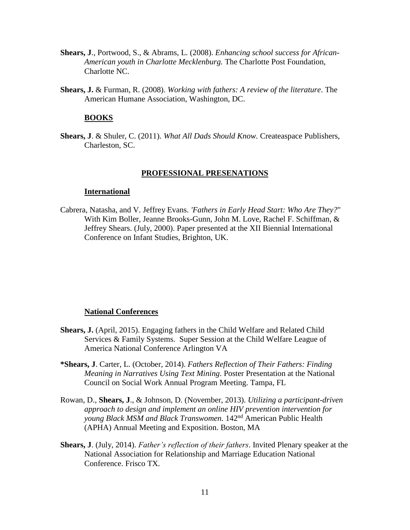- **Shears, J**., Portwood, S., & Abrams, L. (2008). *Enhancing school success for African-American youth in Charlotte Mecklenburg.* The Charlotte Post Foundation, Charlotte NC.
- **Shears, J.** & Furman, R. (2008). *Working with fathers: A review of the literature*. The American Humane Association, Washington, DC.

### **BOOKS**

**Shears, J**. & Shuler, C. (2011). *What All Dads Should Know.* Createaspace Publishers, Charleston, SC.

#### **PROFESSIONAL PRESENATIONS**

#### **International**

Cabrera, Natasha, and V. Jeffrey Evans. *'Fathers in Early Head Start: Who Are They?*" With Kim Boller, Jeanne Brooks-Gunn, John M. Love, Rachel F. Schiffman, & Jeffrey Shears. (July, 2000). Paper presented at the XII Biennial International Conference on Infant Studies, Brighton, UK.

#### **National Conferences**

- **Shears, J.** (April, 2015). Engaging fathers in the Child Welfare and Related Child Services & Family Systems. Super Session at the Child Welfare League of America National Conference Arlington VA
- **\*Shears, J**. Carter, L. (October, 2014). *Fathers Reflection of Their Fathers: Finding Meaning in Narratives Using Text Mining*. Poster Presentation at the National Council on Social Work Annual Program Meeting. Tampa, FL
- Rowan, D., **Shears, J**., & Johnson, D. (November, 2013). *Utilizing a participant-driven approach to design and implement an online HIV prevention intervention for young Black MSM and Black Transwomen.* 142nd American Public Health (APHA) Annual Meeting and Exposition. Boston, MA
- **Shears, J**. (July, 2014). *Father's reflection of their fathers*. Invited Plenary speaker at the National Association for Relationship and Marriage Education National Conference. Frisco TX.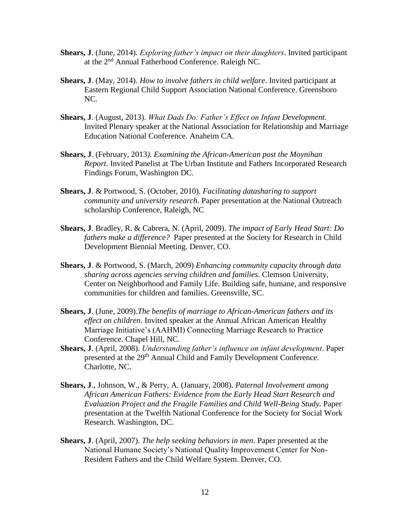- **Shears, J**. (June, 2014). *Exploring father's impact on their daughters*. Invited participant at the 2nd Annual Fatherhood Conference. Raleigh NC.
- **Shears, J**. (May, 2014). *How to involve fathers in child welfare*. Invited participant at Eastern Regional Child Support Association National Conference. Greensboro NC.
- **Shears, J**. (August, 2013). *What Dads Do: Father's Effect on Infant Development*. Invited Plenary speaker at the National Association for Relationship and Marriage Education National Conference. Anaheim CA.
- **Shears, J**. (February, 2013*). Examining the African-American post the Moynihan Report*. Invited Panelist at The Urban Institute and Fathers Incorporated Research Findings Forum, Washington DC.
- **Shears, J**. & Portwood, S. (October, 2010). *Facilitating datasharing to support community and university research*. Paper presentation at the National Outreach scholarship Conference, Raleigh, NC
- **Shears, J**. Bradley, R. & Cabrera, N. (April, 2009). *The impact of Early Head Start: Do fathers make a difference?* Paper presented at the Society for Research in Child Development Biennial Meeting. Denver, CO.
- **Shears, J**. & Portwood, S. (March, 2009) *Enhancing community capacity through data sharing across agencies serving children and families*. Clemson University, Center on Neighborhood and Family Life. Building safe, humane, and responsive communities for children and families. Greensville, SC.
- **Shears, J**. (June, 2009).*The benefits of marriage to African-American fathers and its effect on children*. Invited speaker at the Annual African American Healthy Marriage Initiative's (AAHMI) Connecting Marriage Research to Practice Conference. Chapel Hill, NC.
- **Shears, J**. (April, 2008). *Understanding father's influence on infant development*. Paper presented at the 29<sup>th</sup> Annual Child and Family Development Conference. Charlotte, NC.
- **Shears, J**., Johnson, W., & Perry, A. (January, 2008). *Paternal Involvement among African American Fathers: Evidence from the Early Head Start Research and Evaluation Project and the Fragile Families and Child Well-Being Study*. Paper presentation at the Twelfth National Conference for the Society for Social Work Research. Washington, DC.
- **Shears, J**. (April, 2007). *The help seeking behaviors in men*. Paper presented at the National Humane Society's National Quality Improvement Center for Non-Resident Fathers and the Child Welfare System. Denver, CO.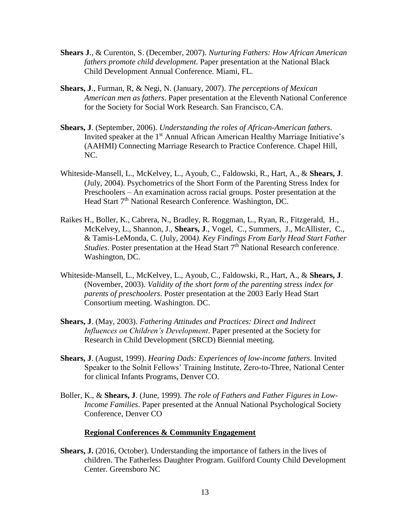- **Shears J**., & Curenton, S. (December, 2007). *Nurturing Fathers: How African American fathers promote child development*. Paper presentation at the National Black Child Development Annual Conference. Miami, FL.
- **Shears, J**., Furman, R, & Negi, N. (January, 2007). *The perceptions of Mexican American men as fathers*. Paper presentation at the Eleventh National Conference for the Society for Social Work Research. San Francisco, CA.
- **Shears, J**. (September, 2006). *Understanding the roles of African-American fathers*. Invited speaker at the 1<sup>st</sup> Annual African American Healthy Marriage Initiative's (AAHMI) Connecting Marriage Research to Practice Conference. Chapel Hill, NC.
- Whiteside-Mansell, L., McKelvey, L., Ayoub, C., Faldowski, R., Hart, A., & **Shears, J**. (July, 2004). Psychometrics of the Short Form of the Parenting Stress Index for Preschoolers – An examination across racial groups. Poster presentation at the Head Start 7<sup>th</sup> National Research Conference. Washington, DC.
- Raikes H., Boller, K., Cabrera, N., Bradley, R. Roggman, L., Ryan, R., Fitzgerald, H., McKelvey, L., Shannon, J., **Shears, J**., Vogel, C., Summers, J., McAllister, C., & Tamis-LeMonda, C. (July, 2004*). Key Findings From Early Head Start Father Studies*. Poster presentation at the Head Start 7<sup>th</sup> National Research conference. Washington, DC.
- Whiteside-Mansell, L., McKelvey, L., Ayoub, C., Faldowski, R., Hart, A., & **Shears, J**. (November, 2003). *Validity of the short form of the parenting stress index for parents of preschoolers*. Poster presentation at the 2003 Early Head Start Consortium meeting. Washington. DC.
- **Shears, J**. (May, 2003). *Fathering Attitudes and Practices: Direct and Indirect Influences on Children's Development*. Paper presented at the Society for Research in Child Development (SRCD) Biennial meeting.
- **Shears, J**. (August, 1999). *Hearing Dads: Experiences of low-income fathers*. Invited Speaker to the Solnit Fellows' Training Institute, Zero-to-Three, National Center for clinical Infants Programs, Denver CO.
- Boller, K., & **Shears, J**. (June, 1999). *The role of Fathers and Father Figures in Low-Income Families*. Paper presented at the Annual National Psychological Society Conference, Denver CO

### **Regional Conferences & Community Engagement**

**Shears, J.** (2016, October). Understanding the importance of fathers in the lives of children. The Fatherless Daughter Program. Guilford County Child Development Center. Greensboro NC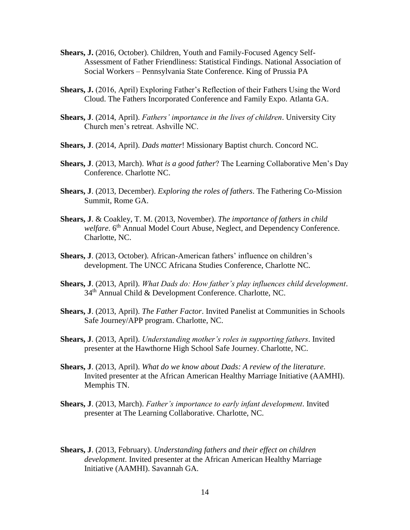- **Shears, J.** (2016, October). Children, Youth and Family-Focused Agency Self-Assessment of Father Friendliness: Statistical Findings. National Association of Social Workers – Pennsylvania State Conference. King of Prussia PA
- **Shears, J.** (2016, April) Exploring Father's Reflection of their Fathers Using the Word Cloud. The Fathers Incorporated Conference and Family Expo. Atlanta GA.
- **Shears, J**. (2014, April). *Fathers' importance in the lives of children*. University City Church men's retreat. Ashville NC.
- **Shears, J**. (2014, April). *Dads matter*! Missionary Baptist church. Concord NC.
- **Shears, J**. (2013, March). *What is a good father*? The Learning Collaborative Men's Day Conference. Charlotte NC.
- **Shears, J**. (2013, December). *Exploring the roles of fathers*. The Fathering Co-Mission Summit, Rome GA.
- **Shears, J**. & Coakley, T. M. (2013, November). *The importance of fathers in child welfare*. 6<sup>th</sup> Annual Model Court Abuse, Neglect, and Dependency Conference. Charlotte, NC.
- **Shears, J**. (2013, October). African-American fathers' influence on children's development. The UNCC Africana Studies Conference, Charlotte NC.
- **Shears, J**. (2013, April). *What Dads do: How father's play influences child development*. 34th Annual Child & Development Conference. Charlotte, NC.
- **Shears, J**. (2013, April). *The Father Factor*. Invited Panelist at Communities in Schools Safe Journey/APP program. Charlotte, NC.
- **Shears, J**. (2013, April). *Understanding mother's roles in supporting fathers*. Invited presenter at the Hawthorne High School Safe Journey. Charlotte, NC.
- **Shears, J**. (2013, April). *What do we know about Dads: A review of the literature*. Invited presenter at the African American Healthy Marriage Initiative (AAMHI). Memphis TN.
- **Shears, J**. (2013, March). *Father's importance to early infant development*. Invited presenter at The Learning Collaborative. Charlotte, NC.
- **Shears, J**. (2013, February). *Understanding fathers and their effect on children development*. Invited presenter at the African American Healthy Marriage Initiative (AAMHI). Savannah GA.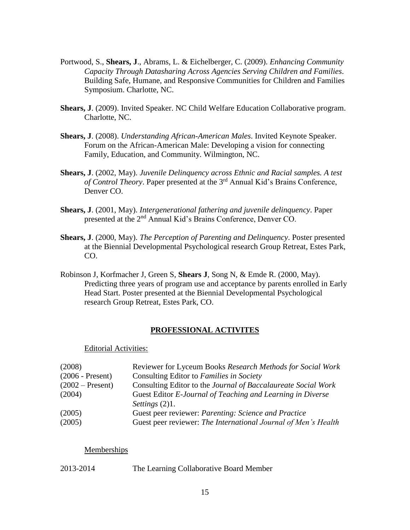- Portwood, S., **Shears, J**., Abrams, L. & Eichelberger, C. (2009). *Enhancing Community Capacity Through Datasharing Across Agencies Serving Children and Families*. Building Safe, Humane, and Responsive Communities for Children and Families Symposium. Charlotte, NC.
- **Shears, J**. (2009). Invited Speaker. NC Child Welfare Education Collaborative program. Charlotte, NC.
- **Shears, J**. (2008). *Understanding African-American Males*. Invited Keynote Speaker. Forum on the African-American Male: Developing a vision for connecting Family, Education, and Community. Wilmington, NC.
- **Shears, J**. (2002, May). *Juvenile Delinquency across Ethnic and Racial samples. A test of Control Theory*. Paper presented at the 3rd Annual Kid's Brains Conference, Denver CO.
- **Shears, J**. (2001, May). *Intergenerational fathering and juvenile delinquency*. Paper presented at the 2nd Annual Kid's Brains Conference, Denver CO.
- **Shears, J**. (2000, May). *The Perception of Parenting and Delinquency*. Poster presented at the Biennial Developmental Psychological research Group Retreat, Estes Park, CO.
- Robinson J, Korfmacher J, Green S, **Shears J**, Song N, & Emde R. (2000, May). Predicting three years of program use and acceptance by parents enrolled in Early Head Start. Poster presented at the Biennial Developmental Psychological research Group Retreat, Estes Park, CO.

### **PROFESSIONAL ACTIVITES**

### Editorial Activities:

| (2008)             | Reviewer for Lyceum Books Research Methods for Social Work     |
|--------------------|----------------------------------------------------------------|
| $(2006 - Present)$ | Consulting Editor to Families in Society                       |
| $(2002 - Present)$ | Consulting Editor to the Journal of Baccalaureate Social Work  |
| (2004)             | Guest Editor E-Journal of Teaching and Learning in Diverse     |
|                    | Settings $(2)1$ .                                              |
| (2005)             | Guest peer reviewer: Parenting: Science and Practice           |
| (2005)             | Guest peer reviewer: The International Journal of Men's Health |
|                    |                                                                |

### **Memberships**

2013-2014 The Learning Collaborative Board Member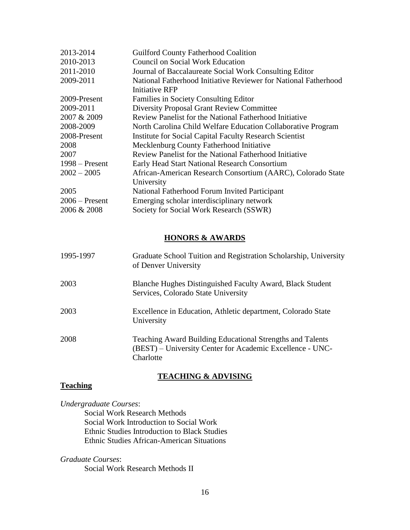| 2013-2014        | <b>Guilford County Fatherhood Coalition</b>                     |
|------------------|-----------------------------------------------------------------|
| 2010-2013        | <b>Council on Social Work Education</b>                         |
| 2011-2010        | Journal of Baccalaureate Social Work Consulting Editor          |
| 2009-2011        | National Fatherhood Initiative Reviewer for National Fatherhood |
|                  | Initiative RFP                                                  |
| 2009-Present     | <b>Families in Society Consulting Editor</b>                    |
| 2009-2011        | <b>Diversity Proposal Grant Review Committee</b>                |
| 2007 & 2009      | Review Panelist for the National Fatherhood Initiative          |
| 2008-2009        | North Carolina Child Welfare Education Collaborative Program    |
| 2008-Present     | <b>Institute for Social Capital Faculty Research Scientist</b>  |
| 2008             | Mecklenburg County Fatherhood Initiative                        |
| 2007             | Review Panelist for the National Fatherhood Initiative          |
| $1998 -$ Present | Early Head Start National Research Consortium                   |
| $2002 - 2005$    | African-American Research Consortium (AARC), Colorado State     |
|                  | University                                                      |
| 2005             | National Fatherhood Forum Invited Participant                   |
| $2006$ – Present | Emerging scholar interdisciplinary network                      |
| 2006 & 2008      | Society for Social Work Research (SSWR)                         |

### **HONORS & AWARDS**

| 1995-1997 | Graduate School Tuition and Registration Scholarship, University<br>of Denver University                                            |
|-----------|-------------------------------------------------------------------------------------------------------------------------------------|
| 2003      | Blanche Hughes Distinguished Faculty Award, Black Student<br>Services, Colorado State University                                    |
| 2003      | Excellence in Education, Athletic department, Colorado State<br>University                                                          |
| 2008      | Teaching Award Building Educational Strengths and Talents<br>(BEST) – University Center for Academic Excellence - UNC-<br>Charlotte |

### **TEACHING & ADVISING**

### **Teaching**

*Undergraduate Courses*:

Social Work Research Methods Social Work Introduction to Social Work Ethnic Studies Introduction to Black Studies Ethnic Studies African-American Situations

*Graduate Courses*:

Social Work Research Methods II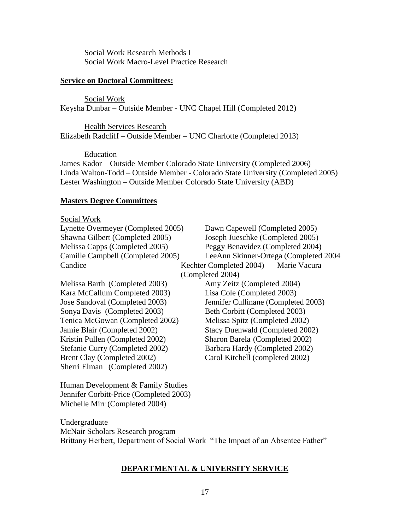Social Work Research Methods I Social Work Macro-Level Practice Research

### **Service on Doctoral Committees:**

Social Work Keysha Dunbar – Outside Member - UNC Chapel Hill (Completed 2012)

Health Services Research Elizabeth Radcliff – Outside Member – UNC Charlotte (Completed 2013)

Education

James Kador – Outside Member Colorado State University (Completed 2006) Linda Walton-Todd – Outside Member - Colorado State University (Completed 2005) Lester Washington – Outside Member Colorado State University (ABD)

### **Masters Degree Committees**

### Social Work

| Lynette Overmeyer (Completed 2005) | Dawn Capewell (Completed 2005)          |  |
|------------------------------------|-----------------------------------------|--|
| Shawna Gilbert (Completed 2005)    | Joseph Jueschke (Completed 2005)        |  |
| Melissa Capps (Completed 2005)     | Peggy Benavidez (Completed 2004)        |  |
| Camille Campbell (Completed 2005)  | LeeAnn Skinner-Ortega (Completed 2004   |  |
| Candice                            | Marie Vacura<br>Kechter Completed 2004) |  |
|                                    | (Completed 2004)                        |  |
| Melissa Barth (Completed 2003)     | Amy Zeitz (Completed 2004)              |  |
| Kara McCallum Completed 2003)      | Lisa Cole (Completed 2003)              |  |
| Jose Sandoval (Completed 2003)     | Jennifer Cullinane (Completed 2003)     |  |
| Sonya Davis (Completed 2003)       | Beth Corbitt (Completed 2003)           |  |
| Tenica McGowan (Completed 2002)    | Melissa Spitz (Completed 2002)          |  |
| Jamie Blair (Completed 2002)       | <b>Stacy Duenwald (Completed 2002)</b>  |  |
| Kristin Pullen (Completed 2002)    | Sharon Barela (Completed 2002)          |  |
| Stefanie Curry (Completed 2002)    | Barbara Hardy (Completed 2002)          |  |
| Brent Clay (Completed 2002)        | Carol Kitchell (completed 2002)         |  |
| Sherri Elman (Completed 2002)      |                                         |  |
|                                    |                                         |  |

Human Development & Family Studies Jennifer Corbitt-Price (Completed 2003) Michelle Mirr (Completed 2004)

Undergraduate McNair Scholars Research program Brittany Herbert, Department of Social Work "The Impact of an Absentee Father"

### **DEPARTMENTAL & UNIVERSITY SERVICE**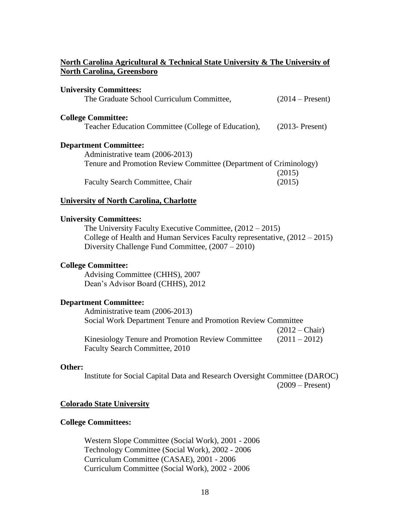### **North Carolina Agricultural & Technical State University & The University of North Carolina, Greensboro**

| <b>University Committees:</b><br>The Graduate School Curriculum Committee, | $(2014 - Present)$ |  |
|----------------------------------------------------------------------------|--------------------|--|
| <b>College Committee:</b>                                                  |                    |  |
| Teacher Education Committee (College of Education),                        | $(2013 - Present)$ |  |
| <b>Department Committee:</b>                                               |                    |  |
| Administrative team (2006-2013)                                            |                    |  |
| Tenure and Promotion Review Committee (Department of Criminology)          |                    |  |
|                                                                            | (2015)             |  |
| <b>Faculty Search Committee, Chair</b>                                     | (2015)             |  |

#### **University of North Carolina, Charlotte**

### **University Committees:**

The University Faculty Executive Committee, (2012 – 2015) College of Health and Human Services Faculty representative, (2012 – 2015) Diversity Challenge Fund Committee, (2007 – 2010)

### **College Committee:**

Advising Committee (CHHS), 2007 Dean's Advisor Board (CHHS), 2012

### **Department Committee:**

Administrative team (2006-2013) Social Work Department Tenure and Promotion Review Committee  $(2012 - *Chair*)$ Kinesiology Tenure and Promotion Review Committee  $(2011 - 2012)$ Faculty Search Committee, 2010

#### **Other:**

Institute for Social Capital Data and Research Oversight Committee (DAROC) (2009 – Present)

#### **Colorado State University**

#### **College Committees:**

Western Slope Committee (Social Work), 2001 - 2006 Technology Committee (Social Work), 2002 - 2006 Curriculum Committee (CASAE), 2001 - 2006 Curriculum Committee (Social Work), 2002 - 2006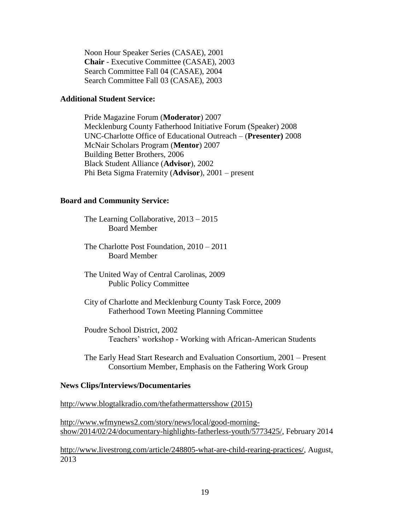Noon Hour Speaker Series (CASAE), 2001 **Chair** - Executive Committee (CASAE), 2003 Search Committee Fall 04 (CASAE), 2004 Search Committee Fall 03 (CASAE), 2003

#### **Additional Student Service:**

Pride Magazine Forum (**Moderator**) 2007 Mecklenburg County Fatherhood Initiative Forum (Speaker) 2008 UNC-Charlotte Office of Educational Outreach – (**Presenter)** 2008 McNair Scholars Program (**Mentor**) 2007 Building Better Brothers, 2006 Black Student Alliance (**Advisor**), 2002 Phi Beta Sigma Fraternity (**Advisor**), 2001 – present

### **Board and Community Service:**

The Learning Collaborative, 2013 – 2015 Board Member

The Charlotte Post Foundation, 2010 – 2011 Board Member

The United Way of Central Carolinas, 2009 Public Policy Committee

- City of Charlotte and Mecklenburg County Task Force, 2009 Fatherhood Town Meeting Planning Committee
- Poudre School District, 2002 Teachers' workshop - Working with African-American Students

The Early Head Start Research and Evaluation Consortium, 2001 – Present Consortium Member, Emphasis on the Fathering Work Group

#### **News Clips/Interviews/Documentaries**

<http://www.blogtalkradio.com/thefathermattersshow> (2015)

[http://www.wfmynews2.com/story/news/local/good-morning](http://www.wfmynews2.com/story/news/local/good-morning-show/2014/02/24/documentary-highlights-fatherless-youth/5773425/)[show/2014/02/24/documentary-highlights-fatherless-youth/5773425/,](http://www.wfmynews2.com/story/news/local/good-morning-show/2014/02/24/documentary-highlights-fatherless-youth/5773425/) February 2014

[http://www.livestrong.com/article/248805-what-are-child-rearing-practices/,](http://www.livestrong.com/article/248805-what-are-child-rearing-practices/) August, 2013